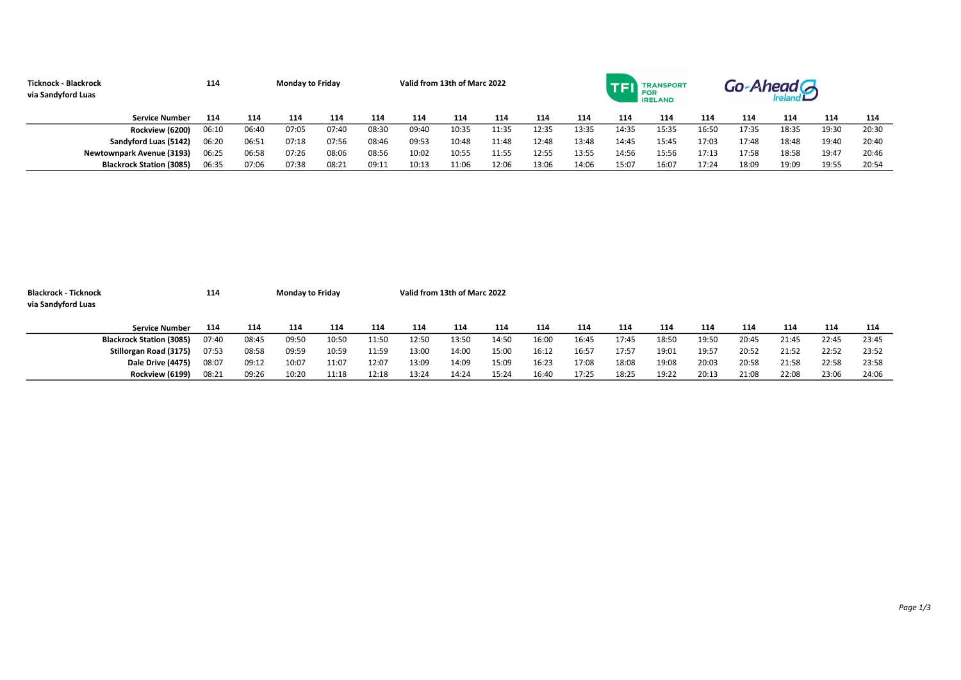| Ticknock - Blackrock<br>via Sandyford Luas | 114   |       | <b>Monday to Friday</b> |       | Valid from 13th of Marc 2022 |       |       |       |       | -Ahead G<br>TRANSPORT<br><b>FOR</b><br><b>IRELAND</b> |       |       |       |       |       |       |       |
|--------------------------------------------|-------|-------|-------------------------|-------|------------------------------|-------|-------|-------|-------|-------------------------------------------------------|-------|-------|-------|-------|-------|-------|-------|
| <b>Service Number</b>                      | 114   | 114   | 114                     | 114   | 114                          | 114   | 114   | 114   | 114   | 114                                                   | 114   | 114   | 114   | 114   | 114   | 114   | 114   |
| Rockview (6200)                            | 06:10 | 06:40 | 07:05                   | 07:40 | 08:30                        | 09:40 | 10:35 | 11:35 | 12:35 | 13:35                                                 | 14:35 | 15:35 | 16:50 | 17:35 | 18:35 | 19:30 | 20:30 |
| Sandyford Luas (5142)                      | 06:20 | 06:51 | 07:18                   | 07:56 | 08:46                        | 09:53 | 10:48 | 11:48 | 12:48 | 13:48                                                 | 14:45 | 15:45 | 17:03 | 17:48 | 18:48 | 19:40 | 20:40 |
| <b>Newtownpark Avenue (3193)</b>           | 06:25 | 06:58 | 07:26                   | 08:06 | 08:56                        | 10:02 | 10:55 | 11:55 | 12:55 | 13:55                                                 | 14:56 | 15:56 | 17:13 | 17:58 | 18:58 | 19:47 | 20:46 |
| <b>Blackrock Station (3085)</b>            | 06:35 | 07:06 | 07:38                   | 08:21 | 09:11                        | 10:13 | 11:06 | 12:06 | 13:06 | 14:06                                                 | 15:07 | 16:07 | 17:24 | 18:09 | 19:09 | 19:55 | 20:54 |

| <b>Blackrock - Ticknock</b>     | 114   |       | <b>Monday to Friday</b> |       |       |       | Valid from 13th of Marc 2022 |       |       |       |       |       |       |       |       |       |       |
|---------------------------------|-------|-------|-------------------------|-------|-------|-------|------------------------------|-------|-------|-------|-------|-------|-------|-------|-------|-------|-------|
| via Sandyford Luas              |       |       |                         |       |       |       |                              |       |       |       |       |       |       |       |       |       |       |
|                                 |       |       |                         |       |       |       |                              |       |       |       |       |       |       |       |       |       |       |
| <b>Service Number</b>           | 114   | 114   | 114                     | 114   | 114   | 114   | 114                          | 114   | 114   | 114   | 114   | 114   | 114   | 114   | 114   | 114   | 114   |
| <b>Blackrock Station (3085)</b> | 07:40 | 08:45 | 09:50                   | 10:50 | 11:50 | 12:50 | 13:50                        | 14:50 | 16:00 | 16:45 | 17:45 | 18:50 | 19:50 | 20:45 | 21:45 | 22:45 | 23:45 |
| Stillorgan Road (3175)          | 07:53 | 08:58 | 09:59                   | 10:59 | 11:59 | 13:00 | 14:00                        | 15:00 | 16:12 | 16:57 | 17:57 | 19:01 | 19:57 | 20:52 | 21:52 | 22:52 | 23:52 |
| Dale Drive (4475)               | 08:07 | 09:12 | 10:07                   | 11:07 | 12:07 | 13:09 | 14:09                        | 15:09 | 16:23 | 17:08 | 18:08 | 19:08 | 20:03 | 20:58 | 21:58 | 22:58 | 23:58 |
| Rockview (6199)                 | 08:21 | 09:26 | 10:20                   | 11:18 | 12:18 | 13:24 | 14:24                        | 15:24 | 16:40 | 17:25 | 18:25 | 19:22 | 20:13 | 21:08 | 22:08 | 23:06 | 24:06 |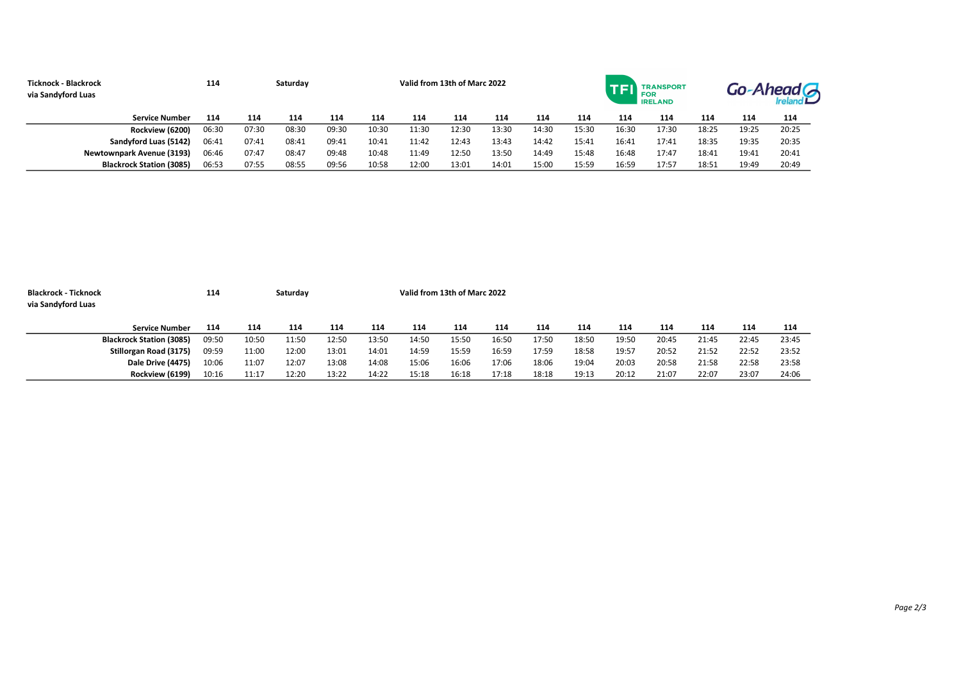| <b>Ticknock - Blackrock</b><br>via Sandyford Luas |                                 | 114   |       | Saturday |       | Valid from 13th of Marc 2022 |       |       |       |       |       |       | <b>TRANSPORT</b><br>FOR<br><b>IRELAND</b> |       |       | Go-Ahead <sup></sup> |  |  |
|---------------------------------------------------|---------------------------------|-------|-------|----------|-------|------------------------------|-------|-------|-------|-------|-------|-------|-------------------------------------------|-------|-------|----------------------|--|--|
|                                                   | <b>Service Number</b>           | 114   | 114   | 114      | 114   | 114                          | 114   | 114   | 114   | 114   | 114   | 114   | 114                                       | 114   | 114   | 114                  |  |  |
|                                                   | Rockview (6200)                 | 06:30 | 07:30 | 08:30    | 09:30 | 10:30                        | 11:30 | 12:30 | 13:30 | 14:30 | 15:30 | 16:30 | 17:30                                     | 18:25 | 19:25 | 20:25                |  |  |
|                                                   | Sandyford Luas (5142)           | 06:41 | 07:41 | 08:41    | 09:41 | 10:41                        | 11:42 | 12:43 | 13:43 | 14:42 | 15:41 | 16:41 | 17:41                                     | 18:35 | 19:35 | 20:35                |  |  |
|                                                   | Newtownpark Avenue (3193)       | 06:46 | 07:47 | 08:47    | 09:48 | 10:48                        | 11:49 | 12:50 | 13:50 | 14:49 | 15:48 | 16:48 | 17:47                                     | 18:41 | 19:41 | 20:41                |  |  |
|                                                   | <b>Blackrock Station (3085)</b> | 06:53 | 07:55 | 08:55    | 09:56 | 10:58                        | 12:00 | 13:01 | 14:01 | 15:00 | 15:59 | 16:59 | 17:57                                     | 18:51 | 19:49 | 20:49                |  |  |

| <b>Blackrock - Ticknock</b><br>via Sandyford Luas |                                 | 114   |       | Saturday |       |       | Valid from 13th of Marc 2022 |       |       |       |       |       |       |       |       |       |  |
|---------------------------------------------------|---------------------------------|-------|-------|----------|-------|-------|------------------------------|-------|-------|-------|-------|-------|-------|-------|-------|-------|--|
|                                                   |                                 |       |       |          |       |       |                              |       |       |       |       |       |       |       |       |       |  |
|                                                   | <b>Service Number</b>           | 114   | 114   | 114      | 114   | 114   | 114                          | 114   | 114   | 114   | 114   | 114   | 114   | 114   | 114   | 114   |  |
|                                                   | <b>Blackrock Station (3085)</b> | 09:50 | 10:50 | 11:50    | 12:50 | 13:50 | 14:50                        | 15:50 | 16:50 | 17:50 | 18:50 | 19:50 | 20:45 | 21:45 | 22:45 | 23:45 |  |
|                                                   | Stillorgan Road (3175)          | 09:59 | 11:00 | 12:00    | 13:01 | 14:01 | 14:59                        | 15:59 | 16:59 | 17:59 | 18:58 | 19:57 | 20:52 | 21:52 | 22:52 | 23:52 |  |
|                                                   | Dale Drive (4475)               | 10:06 | 11:07 | 12:07    | 13:08 | 14:08 | 15:06                        | 16:06 | 17:06 | 18:06 | 19:04 | 20:03 | 20:58 | 21:58 | 22:58 | 23:58 |  |
|                                                   | Rockview (6199)                 | 10:16 | 11:17 | 12:20    | 13:22 | 14:22 | 15:18                        | 16:18 | 17:18 | 18:18 | 19:13 | 20:12 | 21:07 | 22:07 | 23:07 | 24:06 |  |